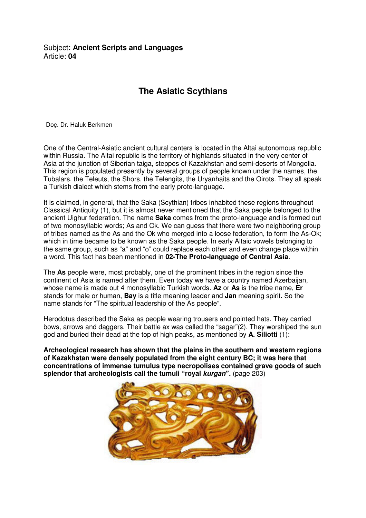## Subject**: Ancient Scripts and Languages**  Article: **04**

## **The Asiatic Scythians**

Doç. Dr. Haluk Berkmen

One of the Central-Asiatic ancient cultural centers is located in the Altai autonomous republic within Russia. The Altai republic is the territory of highlands situated in the very center of Asia at the junction of Siberian taiga, steppes of Kazakhstan and semi-deserts of Mongolia. This region is populated presently by several groups of people known under the names, the Tubalars, the Teleuts, the Shors, the Telengits, the Uryanhaits and the Oirots. They all speak a Turkish dialect which stems from the early proto-language.

It is claimed, in general, that the Saka (Scythian) tribes inhabited these regions throughout Classical Antiquity (1), but it is almost never mentioned that the Saka people belonged to the ancient Uighur federation. The name **Saka** comes from the proto-language and is formed out of two monosyllabic words; As and Ok. We can guess that there were two neighboring group of tribes named as the As and the Ok who merged into a loose federation, to form the As-Ok; which in time became to be known as the Saka people. In early Altaic vowels belonging to the same group, such as "a" and "o" could replace each other and even change place within a word. This fact has been mentioned in **02-The Proto-language of Central Asia**.

The **As** people were, most probably, one of the prominent tribes in the region since the continent of Asia is named after them. Even today we have a country named Azerbaijan, whose name is made out 4 monosyllabic Turkish words. **Az** or **As** is the tribe name, **Er** stands for male or human, **Bay** is a title meaning leader and **Jan** meaning spirit. So the name stands for "The spiritual leadership of the As people".

Herodotus described the Saka as people wearing trousers and pointed hats. They carried bows, arrows and daggers. Their battle ax was called the "sagar"(2). They worshiped the sun god and buried their dead at the top of high peaks, as mentioned by **A. Siliotti** (1):

**Archeological research has shown that the plains in the southern and western regions of Kazakhstan were densely populated from the eight century BC; it was here that concentrations of immense tumulus type necropolises contained grave goods of such splendor that archeologists call the tumuli "royal kurgan".** (page 203)

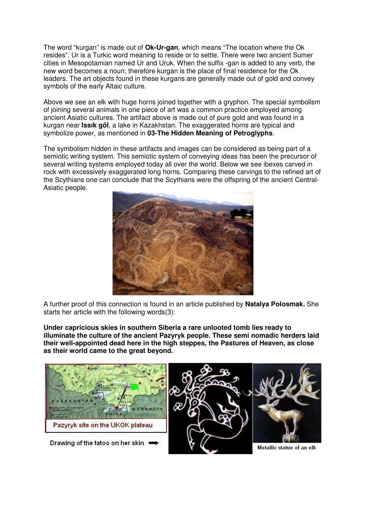The word "kurgan" is made out of **Ok-Ur-gan**, which means "The location where the Ok resides". Ur is a Turkic word meaning to reside or to settle. There were two ancient Sumer cities in Mesopotamian named Ur and Uruk. When the suffix -gan is added to any verb, the new word becomes a noun; therefore kurgan is the place of final residence for the Ok leaders. The art objects found in these kurgans are generally made out of gold and convey symbols of the early Altaic culture.

Above we see an elk with huge horns joined together with a gryphon. The special symbolism of joining several animals in one piece of art was a common practice employed among ancient Asiatic cultures. The artifact above is made out of pure gold and was found in a kurgan near **Issık göl**, a lake in Kazakhstan. The exaggerated horns are typical and symbolize power, as mentioned in **03-The Hidden Meaning of Petroglyphs**.

The symbolism hidden in these artifacts and images can be considered as being part of a semiotic writing system. This semiotic system of conveying ideas has been the precursor of several writing systems employed today all over the world. Below we see ibexes carved in rock with excessively exaggerated long horns. Comparing these carvings to the refined art of the Scythians one can conclude that the Scythians were the offspring of the ancient Central-Asiatic people.



A further proof of this connection is found in an article published by **Natalya Polosmak.** She starts her article with the following words(3):

**Under capricious skies in southern Siberia a rare unlooted tomb lies ready to illuminate the culture of the ancient Pazyryk people. These semi nomadic herders laid their well-appointed dead here in the high steppes, the Pastures of Heaven, as close as their world came to the great beyond.**